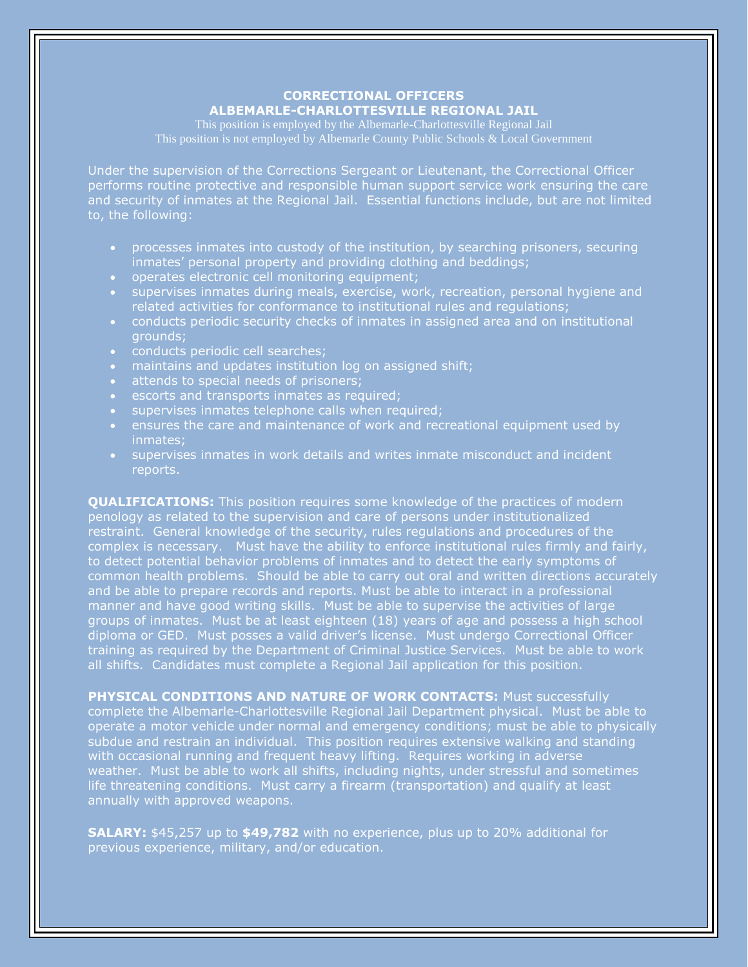# **CORRECTIONAL OFFICERS**

## **ALBEMARLE-CHARLOTTESVILLE REGIONAL JAIL**

This position is employed by the Albemarle-Charlottesville Regional Jail

Under the supervision of the Corrections Sergeant or Lieutenant, the Correctional Officer performs routine protective and responsible human support service work ensuring the care and security of inmates at the Regional Jail. Essential functions include, but are not limited to, the following:

- processes inmates into custody of the institution, by searching prisoners, securing inmates' personal property and providing clothing and beddings;
- operates electronic cell monitoring equipment;
- **supervises inmates during meals, exercise, work, recreation, personal hygiene and** related activities for conformance to institutional rules and regulations;
- conducts periodic security checks of inmates in assigned area and on institutional grounds;
- conducts periodic cell searches;
- maintains and updates institution log on assigned shift;
- attends to special needs of prisoners;
- escorts and transports inmates as required;
- supervises inmates telephone calls when required;
- ensures the care and maintenance of work and recreational equipment used by inmates;
- supervises inmates in work details and writes inmate misconduct and incident reports.

**QUALIFICATIONS:** This position requires some knowledge of the practices of modern penology as related to the supervision and care of persons under institutionalized restraint. General knowledge of the security, rules regulations and procedures of the complex is necessary. Must have the ability to enforce institutional rules firmly and fairly, to detect potential behavior problems of inmates and to detect the early symptoms of common health problems. Should be able to carry out oral and written directions accurately and be able to prepare records and reports. Must be able to interact in a professional manner and have good writing skills. Must be able to supervise the activities of large groups of inmates. Must be at least eighteen (18) years of age and possess a high school diploma or GED. Must posses a valid driver's license. Must undergo Correctional Officer training as required by the Department of Criminal Justice Services. Must be able to work all shifts. Candidates must complete a Regional Jail application for this position.

**PHYSICAL CONDITIONS AND NATURE OF WORK CONTACTS:** Must successfully complete the Albemarle-Charlottesville Regional Jail Department physical. Must be able to operate a motor vehicle under normal and emergency conditions; must be able to physically subdue and restrain an individual. This position requires extensive walking and standing with occasional running and frequent heavy lifting. Requires working in adverse weather. Must be able to work all shifts, including nights, under stressful and sometimes life threatening conditions. Must carry a firearm (transportation) and qualify at least annually with approved weapons.

**SALARY:** \$45,257 up to **\$49,782** with no experience, plus up to 20% additional for previous experience, military, and/or education.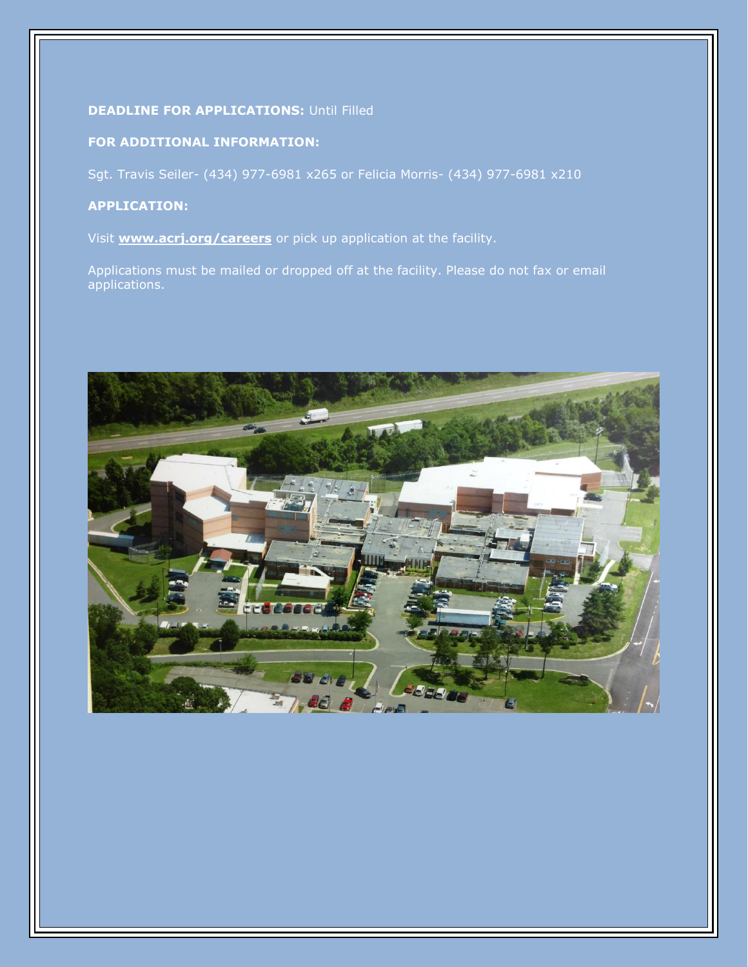#### **DEADLINE FOR APPLICATIONS: Until Filled**

### **FOR ADDITIONAL INFORMATION:**

Sgt. Travis Seiler- (434) 977-6981 x265 or Felicia Morris- (434) 977-6981 x210

#### **APPLICATION:**

Visit **[www.acrj.org/careers](http://www.acrj.org/careers)** or pick up application at the facility.

Applications must be mailed or dropped off at the facility. Please do not fax or email applications.